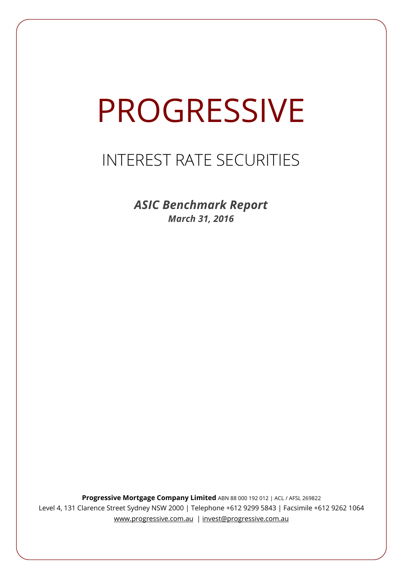# PROGRESSIVE

# INTEREST RATE SECURITIES

*ASIC Benchmark Report March 31, 2016*

**Progressive Mortgage Company Limited** ABN 88 000 192 012 | ACL / AFSL 269822 Level 4, 131 Clarence Street Sydney NSW 2000 | Telephone +612 9299 5843 | Facsimile +612 9262 1064 www.progressive.com.au | invest@progressive.com.au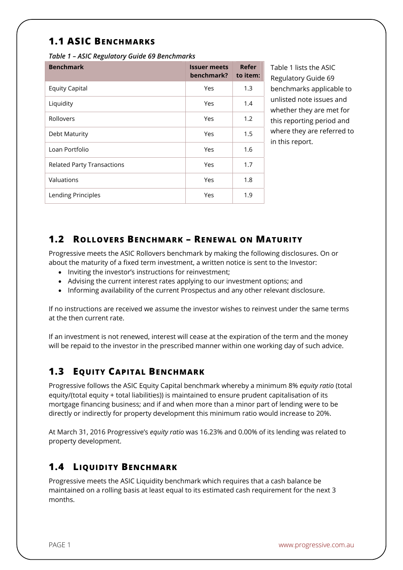## **1.1 ASIC BENCHMARKS**

*Table 1 – ASIC Regulatory Guide 69 Benchmarks* 

| <b>Benchmark</b>                  | <b>Issuer meets</b><br>benchmark? | Refer<br>to item: |
|-----------------------------------|-----------------------------------|-------------------|
| <b>Equity Capital</b>             | Yes                               | 1.3               |
| Liquidity                         | Yes                               | 1.4               |
| Rollovers                         | Yes                               | 1.2               |
| Debt Maturity                     | Yes                               | 1.5               |
| Loan Portfolio                    | Yes                               | 1.6               |
| <b>Related Party Transactions</b> | Yes                               | 1.7               |
| Valuations                        | Yes                               | 1.8               |
| Lending Principles                | Yes                               | 1.9               |

Table 1 lists the ASIC Regulatory Guide 69 benchmarks applicable to unlisted note issues and whether they are met for this reporting period and where they are referred to in this report.

#### **1.2 ROLLOVERS BENCHMARK – RENEWAL ON MATURITY**

Progressive meets the ASIC Rollovers benchmark by making the following disclosures. On or about the maturity of a fixed term investment, a written notice is sent to the Investor:

- Inviting the investor's instructions for reinvestment;
- Advising the current interest rates applying to our investment options; and
- Informing availability of the current Prospectus and any other relevant disclosure.

If no instructions are received we assume the investor wishes to reinvest under the same terms at the then current rate.

If an investment is not renewed, interest will cease at the expiration of the term and the money will be repaid to the investor in the prescribed manner within one working day of such advice.

### **1.3 EQUITY CAPITAL BENCHMARK**

Progressive follows the ASIC Equity Capital benchmark whereby a minimum 8% *equity ratio* (total equity/(total equity + total liabilities)) is maintained to ensure prudent capitalisation of its mortgage financing business; and if and when more than a minor part of lending were to be directly or indirectly for property development this minimum ratio would increase to 20%.

At March 31, 2016 Progressive's *equity ratio* was 16.23% and 0.00% of its lending was related to property development.

### **1.4 LIQUIDITY BENCHMARK**

Progressive meets the ASIC Liquidity benchmark which requires that a cash balance be maintained on a rolling basis at least equal to its estimated cash requirement for the next 3 months.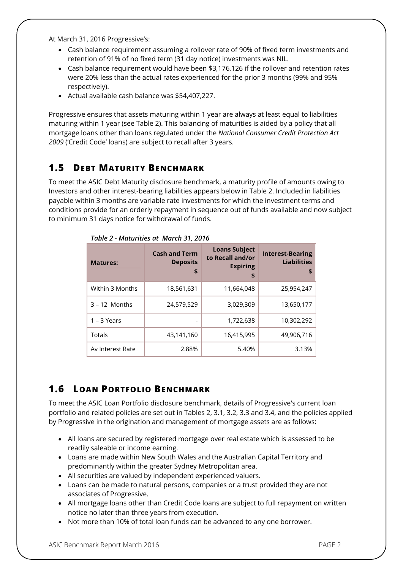At March 31, 2016 Progressive's:

- Cash balance requirement assuming a rollover rate of 90% of fixed term investments and retention of 91% of no fixed term (31 day notice) investments was NIL.
- Cash balance requirement would have been \$3,176,126 if the rollover and retention rates were 20% less than the actual rates experienced for the prior 3 months (99% and 95% respectively).
- Actual available cash balance was \$54,407,227.

Progressive ensures that assets maturing within 1 year are always at least equal to liabilities maturing within 1 year (see Table 2). This balancing of maturities is aided by a policy that all mortgage loans other than loans regulated under the *National Consumer Credit Protection Act 2009* ('Credit Code' loans) are subject to recall after 3 years.

#### **1.5 DEBT MATURITY BENCHMARK**

To meet the ASIC Debt Maturity disclosure benchmark, a maturity profile of amounts owing to Investors and other interest-bearing liabilities appears below in Table 2. Included in liabilities payable within 3 months are variable rate investments for which the investment terms and conditions provide for an orderly repayment in sequence out of funds available and now subject to minimum 31 days notice for withdrawal of funds.

| <b>Matures:</b>  | <b>Cash and Term</b><br><b>Deposits</b><br>\$ | <b>Loans Subject</b><br>to Recall and/or<br><b>Expiring</b><br>\$ | <b>Interest-Bearing</b><br><b>Liabilities</b><br>\$ |
|------------------|-----------------------------------------------|-------------------------------------------------------------------|-----------------------------------------------------|
| Within 3 Months  | 18,561,631                                    | 11,664,048                                                        | 25,954,247                                          |
| $3 - 12$ Months  | 24,579,529                                    | 3,029,309                                                         | 13,650,177                                          |
| $1 - 3$ Years    |                                               | 1,722,638                                                         | 10,302,292                                          |
| Totals           | 43,141,160                                    | 16,415,995                                                        | 49,906,716                                          |
| Av Interest Rate | 2.88%                                         | 5.40%                                                             | 3.13%                                               |

*Table 2 - Maturities at March 31, 2016*

# **1.6 LOAN PORTFOLIO BENCHMARK**

To meet the ASIC Loan Portfolio disclosure benchmark, details of Progressive's current loan portfolio and related policies are set out in Tables 2, 3.1, 3.2, 3.3 and 3.4, and the policies applied by Progressive in the origination and management of mortgage assets are as follows:

- All loans are secured by registered mortgage over real estate which is assessed to be readily saleable or income earning.
- Loans are made within New South Wales and the Australian Capital Territory and predominantly within the greater Sydney Metropolitan area.
- All securities are valued by independent experienced valuers.
- Loans can be made to natural persons, companies or a trust provided they are not associates of Progressive.
- All mortgage loans other than Credit Code loans are subject to full repayment on written notice no later than three years from execution.
- Not more than 10% of total loan funds can be advanced to any one borrower.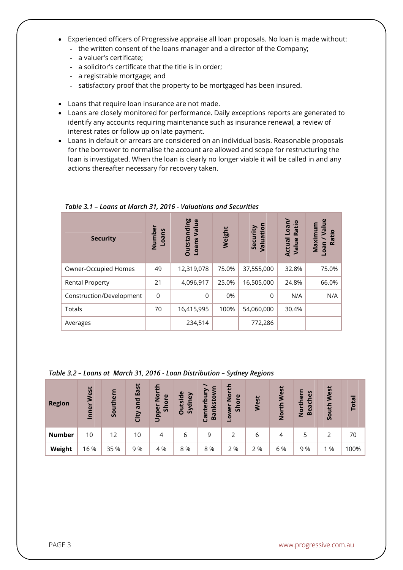- Experienced officers of Progressive appraise all loan proposals. No loan is made without:
	- the written consent of the loans manager and a director of the Company;
	- a valuer's certificate;
	- a solicitor's certificate that the title is in order;
	- a registrable mortgage; and
	- satisfactory proof that the property to be mortgaged has been insured.
- Loans that require loan insurance are not made.
- Loans are closely monitored for performance. Daily exceptions reports are generated to identify any accounts requiring maintenance such as insurance renewal, a review of interest rates or follow up on late payment.
- Loans in default or arrears are considered on an individual basis. Reasonable proposals for the borrower to normalise the account are allowed and scope for restructuring the loan is investigated. When the loan is clearly no longer viable it will be called in and any actions thereafter necessary for recovery taken.

| <b>Security</b>          | Number<br>Loans | <b>Outstanding</b><br>Value<br><b>Loans</b> | Weight | Security<br>Valuation | Loan/<br>Ratio<br><b>Actual</b><br>Value | $\mathbf{g}$<br>ε<br>厄<br>Maximu<br>Ratio<br>neo- |
|--------------------------|-----------------|---------------------------------------------|--------|-----------------------|------------------------------------------|---------------------------------------------------|
| Owner-Occupied Homes     | 49              | 12,319,078                                  | 75.0%  | 37,555,000            | 32.8%                                    | 75.0%                                             |
| <b>Rental Property</b>   | 21              | 4,096,917                                   | 25.0%  | 16,505,000            | 24.8%                                    | 66.0%                                             |
| Construction/Development | $\overline{0}$  | $\Omega$                                    | 0%     | $\Omega$              | N/A                                      | N/A                                               |
| Totals                   | 70              | 16,415,995                                  | 100%   | 54,060,000            | 30.4%                                    |                                                   |
| Averages                 |                 | 234,514                                     |        | 772,286               |                                          |                                                   |

*Table 3.1 – Loans at March 31, 2016 - Valuations and Securities*

#### *Table 3.2 – Loans at March 31, 2016 - Loan Distribution – Sydney Regions*

| <b>Region</b> | West<br>Inner | Southern | East<br>and<br>City | Ð<br>ō<br>$\omega$<br>Ž<br>Shor<br>Upper | <b>Outside</b><br>dney<br>$\overline{\mathcal{S}}$ | S<br>nkstow<br>nterbi<br>$\overline{a}$<br>ී | 듭<br>$\frac{5}{2}$<br>$\omega$<br>ā<br>န္တ<br>owe | West | West<br>North | မိ<br>۹<br>Ē<br>ပ<br>Б<br>ēā<br><u>ۃ</u><br>$\mathbf{m}$ | West<br>South | Total |
|---------------|---------------|----------|---------------------|------------------------------------------|----------------------------------------------------|----------------------------------------------|---------------------------------------------------|------|---------------|----------------------------------------------------------|---------------|-------|
| <b>Number</b> | 10            | 12       | 10                  | 4                                        | 6                                                  | 9                                            |                                                   | 6    | 4             | 5                                                        | 2             | 70    |
| Weight        | 16 %          | 35 %     | 9%                  | 4 %                                      | 8 %                                                | 8 %                                          | 2 %                                               | 2 %  | 6 %           | 9 %                                                      | %             | 100%  |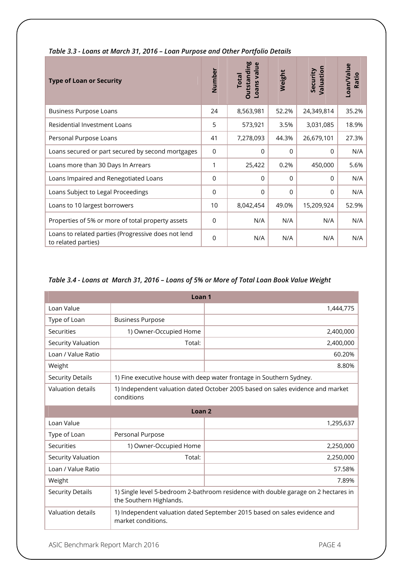| <b>Type of Loan or Security</b>                                            | Number         | <b>Outstanding</b><br>Loans value<br><b>Total</b> | Weight      | Valuation<br>Security | Loan/Value<br>Ratio |
|----------------------------------------------------------------------------|----------------|---------------------------------------------------|-------------|-----------------------|---------------------|
| <b>Business Purpose Loans</b>                                              | 24             | 8,563,981                                         | 52.2%       | 24,349,814            | 35.2%               |
| Residential Investment Loans                                               | 5              | 573,921                                           | 3.5%        | 3,031,085             | 18.9%               |
| Personal Purpose Loans                                                     | 41             | 7,278,093                                         | 44.3%       | 26,679,101            | 27.3%               |
| Loans secured or part secured by second mortgages                          | $\overline{0}$ | $\Omega$                                          | 0           | $\Omega$              | N/A                 |
| Loans more than 30 Days In Arrears                                         | 1              | 25,422                                            | 0.2%        | 450,000               | 5.6%                |
| Loans Impaired and Renegotiated Loans                                      | 0              | $\mathbf 0$                                       | $\mathbf 0$ | $\Omega$              | N/A                 |
| Loans Subject to Legal Proceedings                                         | $\overline{0}$ | $\Omega$                                          | $\Omega$    | 0                     | N/A                 |
| Loans to 10 largest borrowers                                              | 10             | 8,042,454                                         | 49.0%       | 15,209,924            | 52.9%               |
| Properties of 5% or more of total property assets                          | $\Omega$       | N/A                                               | N/A         | N/A                   | N/A                 |
| Loans to related parties (Progressive does not lend<br>to related parties) | $\Omega$       | N/A                                               | N/A         | N/A                   | N/A                 |

#### *Table 3.3 - Loans at March 31, 2016 – Loan Purpose and Other Portfolio Details*

#### *Table 3.4 - Loans at March 31, 2016 – Loans of 5% or More of Total Loan Book Value Weight*

| Loan <sub>1</sub>        |                                                                                                               |                                                                      |  |  |  |
|--------------------------|---------------------------------------------------------------------------------------------------------------|----------------------------------------------------------------------|--|--|--|
| Loan Value               |                                                                                                               | 1,444,775                                                            |  |  |  |
| Type of Loan             | <b>Business Purpose</b>                                                                                       |                                                                      |  |  |  |
| Securities               | 1) Owner-Occupied Home                                                                                        | 2,400,000                                                            |  |  |  |
| Security Valuation       | Total:                                                                                                        | 2,400,000                                                            |  |  |  |
| Loan / Value Ratio       |                                                                                                               | 60.20%                                                               |  |  |  |
| Weight                   |                                                                                                               | 8.80%                                                                |  |  |  |
| <b>Security Details</b>  |                                                                                                               | 1) Fine executive house with deep water frontage in Southern Sydney. |  |  |  |
| <b>Valuation details</b> | 1) Independent valuation dated October 2005 based on sales evidence and market<br>conditions                  |                                                                      |  |  |  |
| Loan <sub>2</sub>        |                                                                                                               |                                                                      |  |  |  |
| Loan Value               |                                                                                                               | 1,295,637                                                            |  |  |  |
| Type of Loan             | Personal Purpose                                                                                              |                                                                      |  |  |  |
| Securities               | 1) Owner-Occupied Home                                                                                        | 2,250,000                                                            |  |  |  |
| Security Valuation       | Total:                                                                                                        | 2,250,000                                                            |  |  |  |
| Loan / Value Ratio       |                                                                                                               | 57.58%                                                               |  |  |  |
| Weight                   |                                                                                                               | 7.89%                                                                |  |  |  |
| <b>Security Details</b>  | 1) Single level 5-bedroom 2-bathroom residence with double garage on 2 hectares in<br>the Southern Highlands. |                                                                      |  |  |  |
| Valuation details        | 1) Independent valuation dated September 2015 based on sales evidence and<br>market conditions.               |                                                                      |  |  |  |